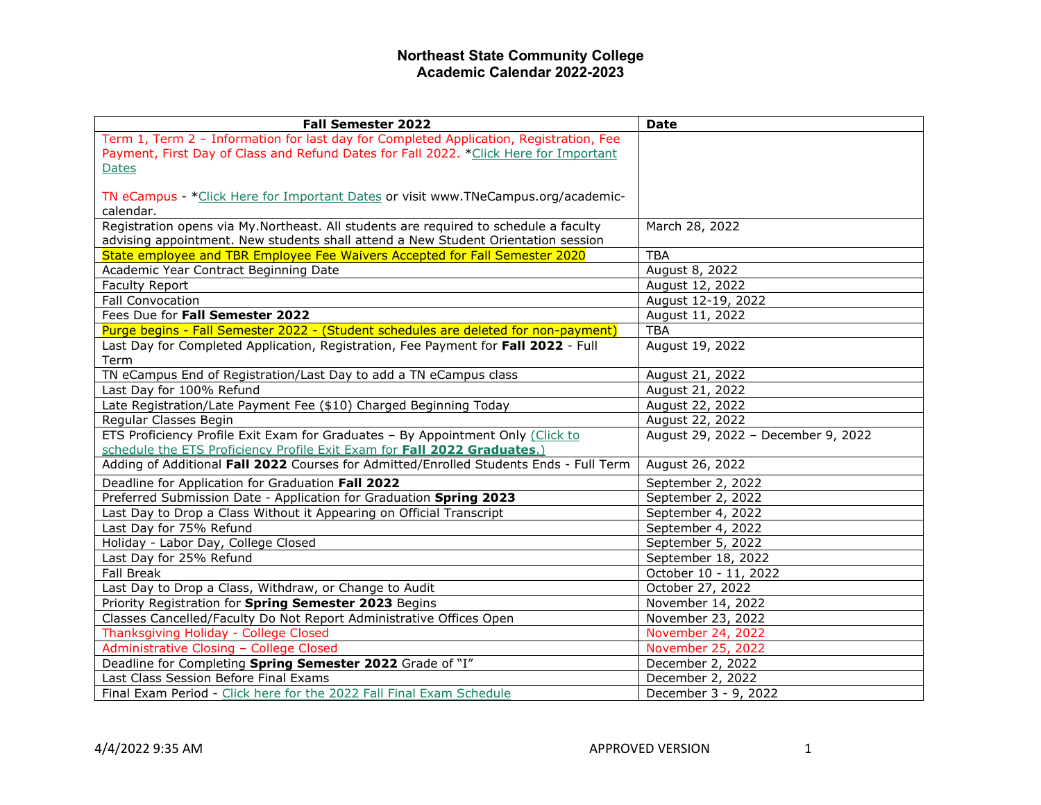| <b>Fall Semester 2022</b>                                                              | <b>Date</b>                        |
|----------------------------------------------------------------------------------------|------------------------------------|
| Term 1, Term 2 - Information for last day for Completed Application, Registration, Fee |                                    |
| Payment, First Day of Class and Refund Dates for Fall 2022. *Click Here for Important  |                                    |
| <b>Dates</b>                                                                           |                                    |
|                                                                                        |                                    |
| TN eCampus - * Click Here for Important Dates or visit www.TNeCampus.org/academic-     |                                    |
| calendar.                                                                              |                                    |
| Registration opens via My.Northeast. All students are required to schedule a faculty   | March 28, 2022                     |
| advising appointment. New students shall attend a New Student Orientation session      |                                    |
| State employee and TBR Employee Fee Waivers Accepted for Fall Semester 2020            | <b>TBA</b>                         |
| Academic Year Contract Beginning Date                                                  | August 8, 2022                     |
| Faculty Report                                                                         | August 12, 2022                    |
| Fall Convocation                                                                       | August 12-19, 2022                 |
| Fees Due for Fall Semester 2022                                                        | August 11, 2022                    |
| Purge begins - Fall Semester 2022 - (Student schedules are deleted for non-payment)    | <b>TBA</b>                         |
| Last Day for Completed Application, Registration, Fee Payment for Fall 2022 - Full     | August 19, 2022                    |
| Term                                                                                   |                                    |
| TN eCampus End of Registration/Last Day to add a TN eCampus class                      | August 21, 2022                    |
| Last Day for 100% Refund                                                               | August 21, 2022                    |
| Late Registration/Late Payment Fee (\$10) Charged Beginning Today                      | August 22, 2022                    |
| Regular Classes Begin                                                                  | August 22, 2022                    |
| ETS Proficiency Profile Exit Exam for Graduates - By Appointment Only (Click to        | August 29, 2022 - December 9, 2022 |
| schedule the ETS Proficiency Profile Exit Exam for Fall 2022 Graduates.)               |                                    |
| Adding of Additional Fall 2022 Courses for Admitted/Enrolled Students Ends - Full Term | August 26, 2022                    |
| Deadline for Application for Graduation Fall 2022                                      | September 2, 2022                  |
| Preferred Submission Date - Application for Graduation Spring 2023                     | September 2, 2022                  |
| Last Day to Drop a Class Without it Appearing on Official Transcript                   | September 4, 2022                  |
| Last Day for 75% Refund                                                                | September 4, 2022                  |
| Holiday - Labor Day, College Closed                                                    | September 5, 2022                  |
| Last Day for 25% Refund                                                                | September 18, 2022                 |
| <b>Fall Break</b>                                                                      | October 10 - 11, 2022              |
| Last Day to Drop a Class, Withdraw, or Change to Audit                                 | October 27, 2022                   |
| Priority Registration for Spring Semester 2023 Begins                                  | November 14, 2022                  |
| Classes Cancelled/Faculty Do Not Report Administrative Offices Open                    | November 23, 2022                  |
| Thanksgiving Holiday - College Closed                                                  | November 24, 2022                  |
| Administrative Closing - College Closed                                                | November 25, 2022                  |
| Deadline for Completing Spring Semester 2022 Grade of "I"                              | December 2, 2022                   |
| Last Class Session Before Final Exams                                                  | December 2, 2022                   |
| Final Exam Period - Click here for the 2022 Fall Final Exam Schedule                   | December 3 - 9, 2022               |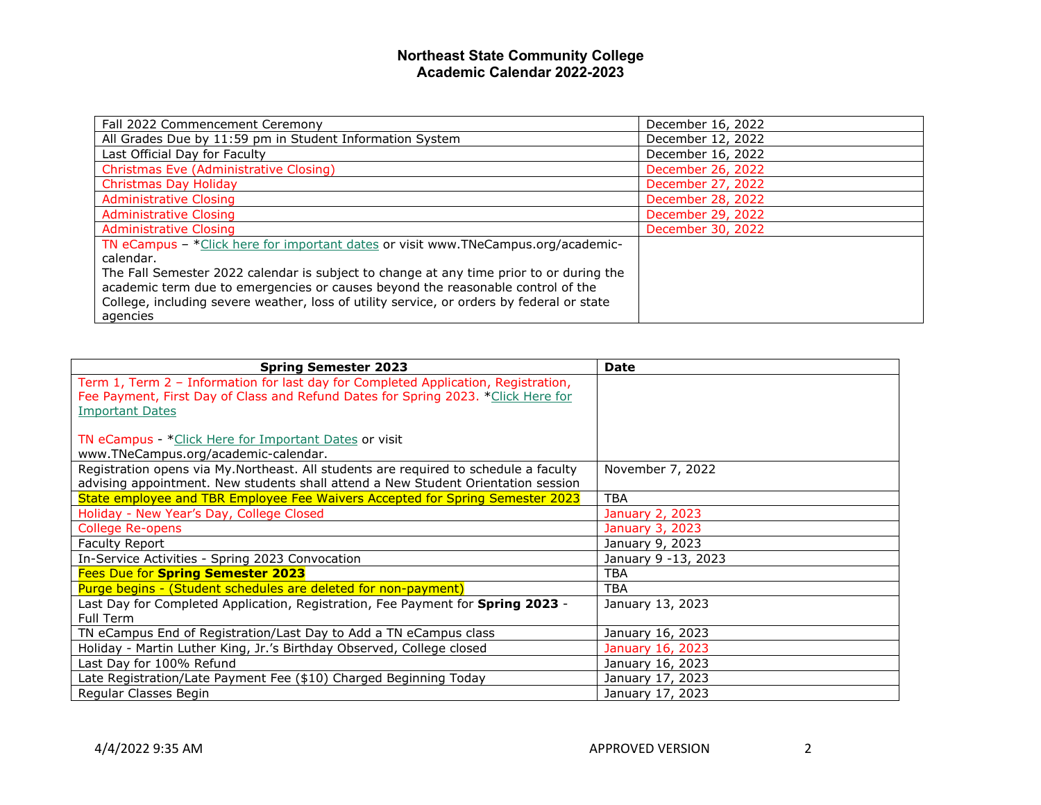| Fall 2022 Commencement Ceremony                                                           | December 16, 2022 |
|-------------------------------------------------------------------------------------------|-------------------|
| All Grades Due by 11:59 pm in Student Information System                                  | December 12, 2022 |
| Last Official Day for Faculty                                                             | December 16, 2022 |
| Christmas Eve (Administrative Closing)                                                    | December 26, 2022 |
| Christmas Day Holiday                                                                     | December 27, 2022 |
| <b>Administrative Closing</b>                                                             | December 28, 2022 |
| <b>Administrative Closing</b>                                                             | December 29, 2022 |
| Administrative Closing                                                                    | December 30, 2022 |
| TN eCampus - * Click here for important dates or visit www.TNeCampus.org/academic-        |                   |
| calendar.                                                                                 |                   |
| The Fall Semester 2022 calendar is subject to change at any time prior to or during the   |                   |
| academic term due to emergencies or causes beyond the reasonable control of the           |                   |
| College, including severe weather, loss of utility service, or orders by federal or state |                   |
| agencies                                                                                  |                   |

| <b>Spring Semester 2023</b>                                                          | <b>Date</b>         |
|--------------------------------------------------------------------------------------|---------------------|
| Term 1, Term 2 - Information for last day for Completed Application, Registration,   |                     |
| Fee Payment, First Day of Class and Refund Dates for Spring 2023. *Click Here for    |                     |
| <b>Important Dates</b>                                                               |                     |
|                                                                                      |                     |
| TN eCampus - *Click Here for Important Dates or visit                                |                     |
| www.TNeCampus.org/academic-calendar.                                                 |                     |
| Registration opens via My.Northeast. All students are required to schedule a faculty | November 7, 2022    |
| advising appointment. New students shall attend a New Student Orientation session    |                     |
| State employee and TBR Employee Fee Waivers Accepted for Spring Semester 2023        | <b>TBA</b>          |
| Holiday - New Year's Day, College Closed                                             | January 2, 2023     |
| <b>College Re-opens</b>                                                              | January 3, 2023     |
| <b>Faculty Report</b>                                                                | January 9, 2023     |
| In-Service Activities - Spring 2023 Convocation                                      | January 9 -13, 2023 |
| <b>Fees Due for Spring Semester 2023</b>                                             | <b>TBA</b>          |
| Purge begins - (Student schedules are deleted for non-payment)                       | <b>TBA</b>          |
| Last Day for Completed Application, Registration, Fee Payment for Spring 2023 -      | January 13, 2023    |
| Full Term                                                                            |                     |
| TN eCampus End of Registration/Last Day to Add a TN eCampus class                    | January 16, 2023    |
| Holiday - Martin Luther King, Jr.'s Birthday Observed, College closed                | January 16, 2023    |
| Last Day for 100% Refund                                                             | January 16, 2023    |
| Late Registration/Late Payment Fee (\$10) Charged Beginning Today                    | January 17, 2023    |
| Regular Classes Begin                                                                | January 17, 2023    |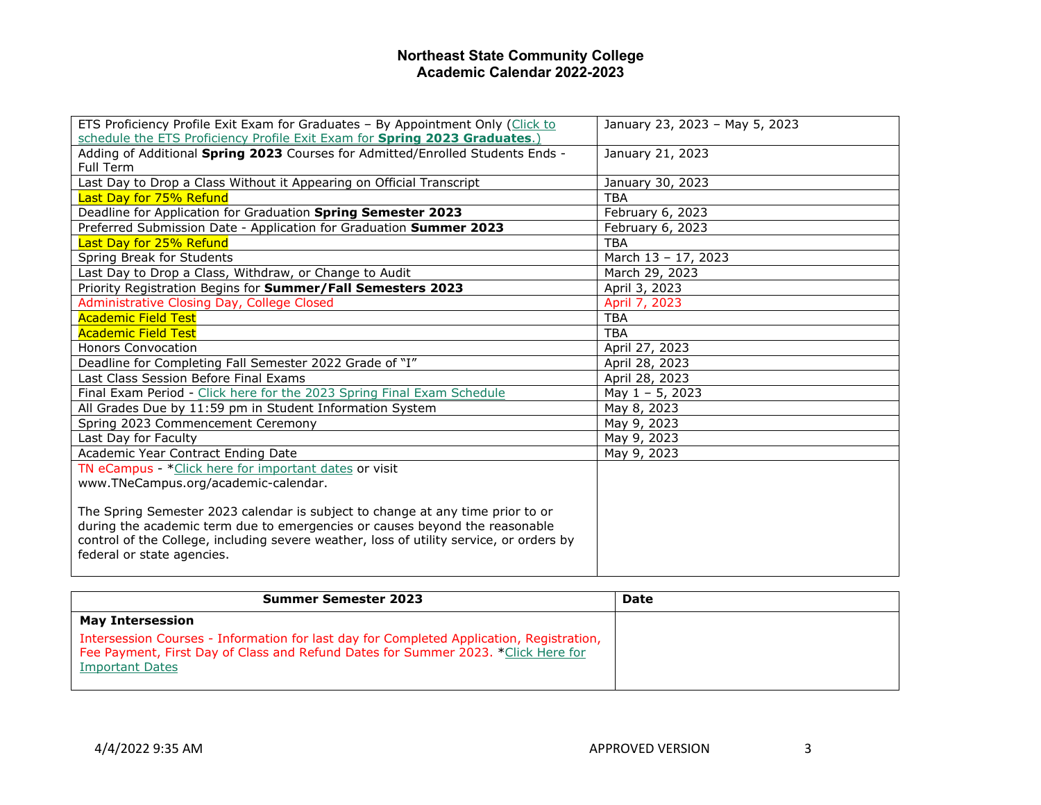| ETS Proficiency Profile Exit Exam for Graduates - By Appointment Only (Click to         | January 23, 2023 - May 5, 2023 |
|-----------------------------------------------------------------------------------------|--------------------------------|
| schedule the ETS Proficiency Profile Exit Exam for Spring 2023 Graduates.)              |                                |
| Adding of Additional Spring 2023 Courses for Admitted/Enrolled Students Ends -          | January 21, 2023               |
| Full Term                                                                               |                                |
| Last Day to Drop a Class Without it Appearing on Official Transcript                    | January 30, 2023               |
| <b>Last Day for 75% Refund</b>                                                          | <b>TBA</b>                     |
| Deadline for Application for Graduation Spring Semester 2023                            | February 6, 2023               |
| Preferred Submission Date - Application for Graduation Summer 2023                      | February 6, 2023               |
| Last Day for 25% Refund                                                                 | <b>TBA</b>                     |
| Spring Break for Students                                                               | March 13 - 17, 2023            |
| Last Day to Drop a Class, Withdraw, or Change to Audit                                  | March 29, 2023                 |
| Priority Registration Begins for Summer/Fall Semesters 2023                             | April 3, 2023                  |
| Administrative Closing Day, College Closed                                              | April 7, 2023                  |
| <b>Academic Field Test</b>                                                              | <b>TBA</b>                     |
| <b>Academic Field Test</b>                                                              | <b>TBA</b>                     |
| <b>Honors Convocation</b>                                                               | April 27, 2023                 |
| Deadline for Completing Fall Semester 2022 Grade of "I"                                 | April 28, 2023                 |
| Last Class Session Before Final Exams                                                   | April 28, 2023                 |
| Final Exam Period - Click here for the 2023 Spring Final Exam Schedule                  | May $1 - 5$ , 2023             |
| All Grades Due by 11:59 pm in Student Information System                                | May 8, 2023                    |
| Spring 2023 Commencement Ceremony                                                       | May 9, 2023                    |
| Last Day for Faculty                                                                    | May 9, 2023                    |
| Academic Year Contract Ending Date                                                      | May 9, 2023                    |
| TN eCampus - * Click here for important dates or visit                                  |                                |
| www.TNeCampus.org/academic-calendar.                                                    |                                |
|                                                                                         |                                |
| The Spring Semester 2023 calendar is subject to change at any time prior to or          |                                |
| during the academic term due to emergencies or causes beyond the reasonable             |                                |
| control of the College, including severe weather, loss of utility service, or orders by |                                |
| federal or state agencies.                                                              |                                |
|                                                                                         |                                |

| <b>Summer Semester 2023</b>                                                                                                                                                                             | Date |
|---------------------------------------------------------------------------------------------------------------------------------------------------------------------------------------------------------|------|
| <b>May Intersession</b>                                                                                                                                                                                 |      |
| Intersession Courses - Information for last day for Completed Application, Registration,<br>Fee Payment, First Day of Class and Refund Dates for Summer 2023. *Click Here for<br><b>Important Dates</b> |      |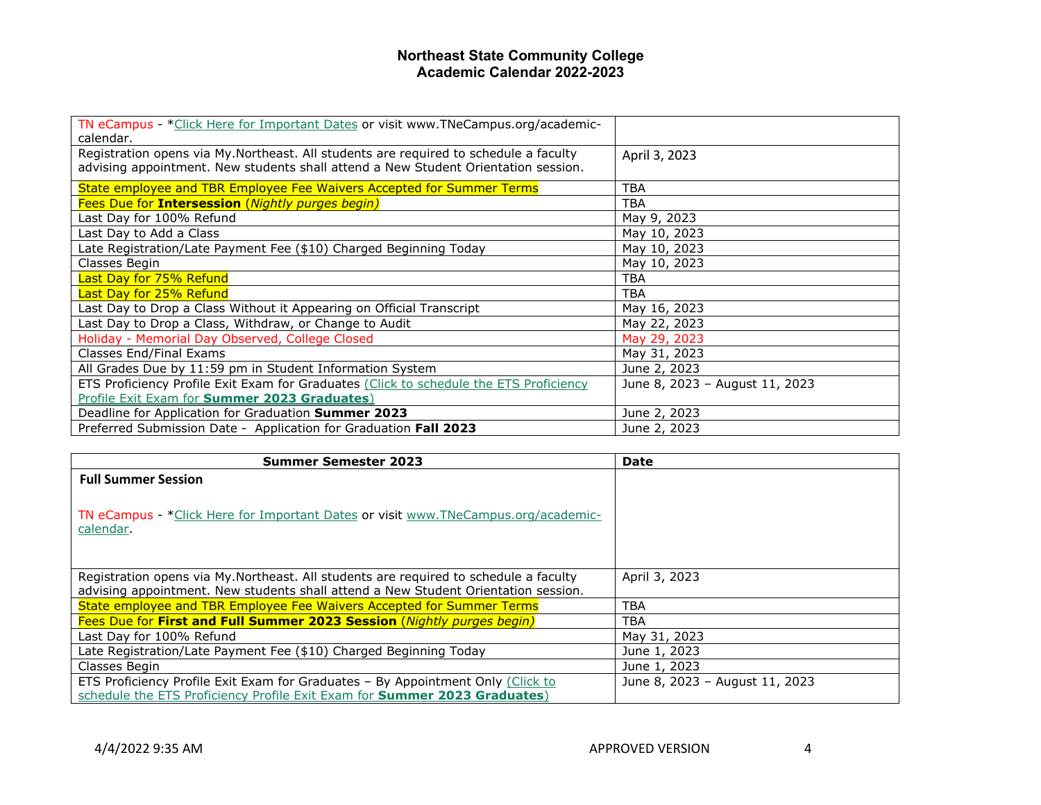| TN eCampus - * Click Here for Important Dates or visit www.TNeCampus.org/academic-     |                                |
|----------------------------------------------------------------------------------------|--------------------------------|
| calendar.                                                                              |                                |
| Registration opens via My.Northeast. All students are required to schedule a faculty   | April 3, 2023                  |
|                                                                                        |                                |
| advising appointment. New students shall attend a New Student Orientation session.     |                                |
| State employee and TBR Employee Fee Waivers Accepted for Summer Terms                  | <b>TBA</b>                     |
| Fees Due for Intersession (Nightly purges begin)                                       | <b>TBA</b>                     |
| Last Day for 100% Refund                                                               | May 9, 2023                    |
| Last Day to Add a Class                                                                | May 10, 2023                   |
| Late Registration/Late Payment Fee (\$10) Charged Beginning Today                      | May 10, 2023                   |
| Classes Begin                                                                          | May 10, 2023                   |
| Last Day for 75% Refund                                                                | <b>TBA</b>                     |
| Last Day for 25% Refund                                                                | <b>TBA</b>                     |
| Last Day to Drop a Class Without it Appearing on Official Transcript                   | May 16, 2023                   |
| Last Day to Drop a Class, Withdraw, or Change to Audit                                 | May 22, 2023                   |
| Holiday - Memorial Day Observed, College Closed                                        | May 29, 2023                   |
| Classes End/Final Exams                                                                | May 31, 2023                   |
| All Grades Due by 11:59 pm in Student Information System                               | June 2, 2023                   |
| ETS Proficiency Profile Exit Exam for Graduates (Click to schedule the ETS Proficiency | June 8, 2023 - August 11, 2023 |
| Profile Exit Exam for Summer 2023 Graduates)                                           |                                |
| Deadline for Application for Graduation Summer 2023                                    | June 2, 2023                   |
| Preferred Submission Date - Application for Graduation Fall 2023                       | June 2, 2023                   |

| <b>Summer Semester 2023</b>                                                          | <b>Date</b>                    |
|--------------------------------------------------------------------------------------|--------------------------------|
| <b>Full Summer Session</b>                                                           |                                |
|                                                                                      |                                |
| TN eCampus - * Click Here for Important Dates or visit www.TNeCampus.org/academic-   |                                |
| calendar.                                                                            |                                |
|                                                                                      |                                |
|                                                                                      |                                |
| Registration opens via My.Northeast. All students are required to schedule a faculty | April 3, 2023                  |
| advising appointment. New students shall attend a New Student Orientation session.   |                                |
| State employee and TBR Employee Fee Waivers Accepted for Summer Terms                | <b>TBA</b>                     |
| Fees Due for First and Full Summer 2023 Session (Nightly purges begin)               | TBA                            |
| Last Day for 100% Refund                                                             | May 31, 2023                   |
| Late Registration/Late Payment Fee (\$10) Charged Beginning Today                    | June 1, 2023                   |
| Classes Begin                                                                        | June 1, 2023                   |
| ETS Proficiency Profile Exit Exam for Graduates - By Appointment Only (Click to      | June 8, 2023 - August 11, 2023 |
| schedule the ETS Proficiency Profile Exit Exam for Summer 2023 Graduates)            |                                |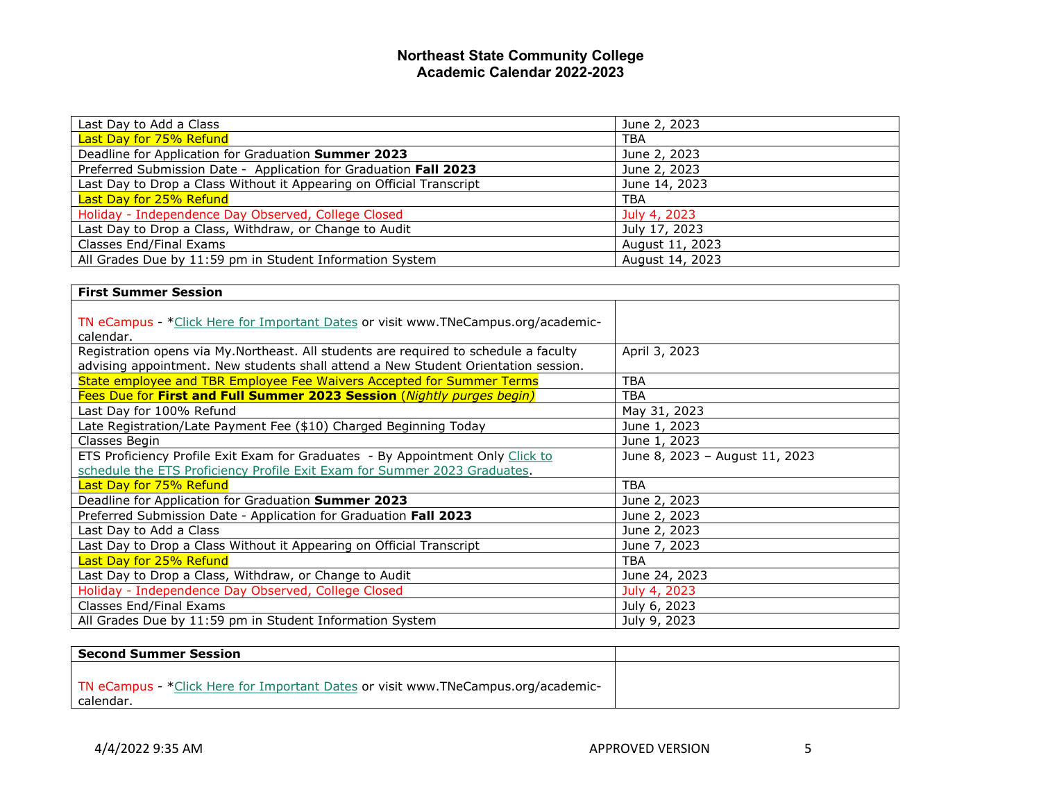| Last Day to Add a Class                                              | June 2, 2023    |
|----------------------------------------------------------------------|-----------------|
| Last Day for 75% Refund                                              | <b>TBA</b>      |
| Deadline for Application for Graduation Summer 2023                  | June 2, 2023    |
| Preferred Submission Date - Application for Graduation Fall 2023     | June 2, 2023    |
| Last Day to Drop a Class Without it Appearing on Official Transcript | June 14, 2023   |
| Last Day for 25% Refund                                              | <b>TBA</b>      |
| Holiday - Independence Day Observed, College Closed                  | July 4, 2023    |
| Last Day to Drop a Class, Withdraw, or Change to Audit               | July 17, 2023   |
| Classes End/Final Exams                                              | August 11, 2023 |
| All Grades Due by 11:59 pm in Student Information System             | August 14, 2023 |

| <b>First Summer Session</b>                                                                                                                                                |                                |
|----------------------------------------------------------------------------------------------------------------------------------------------------------------------------|--------------------------------|
| TN eCampus - *Click Here for Important Dates or visit www.TNeCampus.org/academic-<br>calendar.                                                                             |                                |
| Registration opens via My.Northeast. All students are required to schedule a faculty<br>advising appointment. New students shall attend a New Student Orientation session. | April 3, 2023                  |
| State employee and TBR Employee Fee Waivers Accepted for Summer Terms                                                                                                      | <b>TBA</b>                     |
| Fees Due for First and Full Summer 2023 Session (Nightly purges begin)                                                                                                     | <b>TBA</b>                     |
| Last Day for 100% Refund                                                                                                                                                   | May 31, 2023                   |
| Late Registration/Late Payment Fee (\$10) Charged Beginning Today                                                                                                          | June 1, 2023                   |
| Classes Begin                                                                                                                                                              | June 1, 2023                   |
| ETS Proficiency Profile Exit Exam for Graduates - By Appointment Only Click to                                                                                             | June 8, 2023 - August 11, 2023 |
| schedule the ETS Proficiency Profile Exit Exam for Summer 2023 Graduates.                                                                                                  |                                |
| Last Day for 75% Refund                                                                                                                                                    | <b>TBA</b>                     |
| Deadline for Application for Graduation Summer 2023                                                                                                                        | June 2, 2023                   |
| Preferred Submission Date - Application for Graduation Fall 2023                                                                                                           | June 2, 2023                   |
| Last Day to Add a Class                                                                                                                                                    | June 2, 2023                   |
| Last Day to Drop a Class Without it Appearing on Official Transcript                                                                                                       | June 7, 2023                   |
| Last Day for 25% Refund                                                                                                                                                    | <b>TBA</b>                     |
| Last Day to Drop a Class, Withdraw, or Change to Audit                                                                                                                     | June 24, 2023                  |
| Holiday - Independence Day Observed, College Closed                                                                                                                        | July 4, 2023                   |
| Classes End/Final Exams                                                                                                                                                    | July 6, 2023                   |
| All Grades Due by 11:59 pm in Student Information System                                                                                                                   | July 9, 2023                   |

| <b>Second Summer Session</b>                                                                    |  |
|-------------------------------------------------------------------------------------------------|--|
| TN eCampus - * Click Here for Important Dates or visit www.TNeCampus.org/academic-<br>calendar. |  |